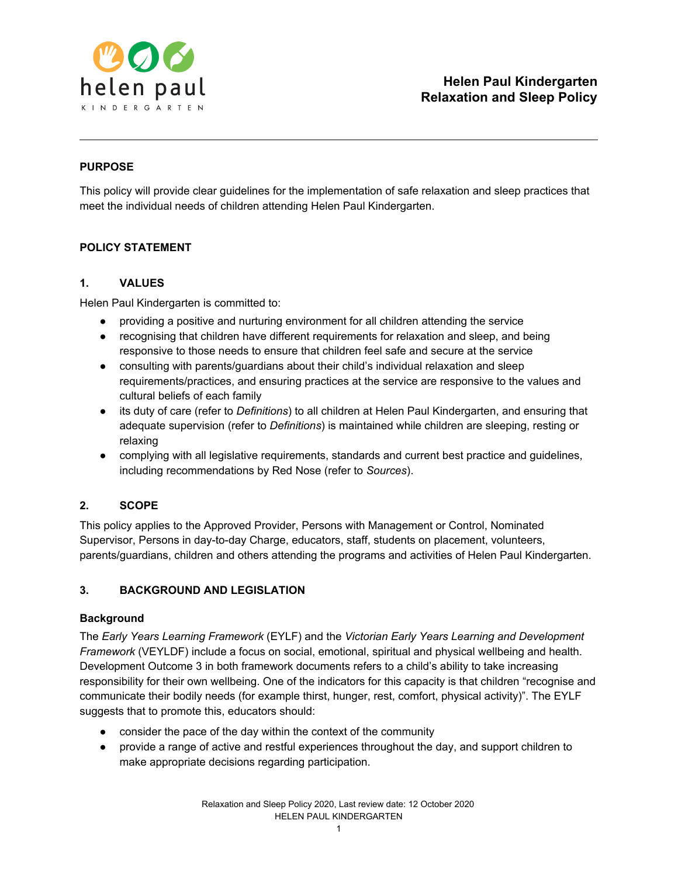

# **PURPOSE**

This policy will provide clear guidelines for the implementation of safe relaxation and sleep practices that meet the individual needs of children attending Helen Paul Kindergarten.

## **POLICY STATEMENT**

## **1. VALUES**

Helen Paul Kindergarten is committed to:

- providing a positive and nurturing environment for all children attending the service
- recognising that children have different requirements for relaxation and sleep, and being responsive to those needs to ensure that children feel safe and secure at the service
- consulting with parents/guardians about their child's individual relaxation and sleep requirements/practices, and ensuring practices at the service are responsive to the values and cultural beliefs of each family
- its duty of care (refer to *Definitions*) to all children at Helen Paul Kindergarten, and ensuring that adequate supervision (refer to *Definitions*) is maintained while children are sleeping, resting or relaxing
- complying with all legislative requirements, standards and current best practice and guidelines, including recommendations by Red Nose (refer to *Sources*).

# **2. SCOPE**

This policy applies to the Approved Provider, Persons with Management or Control, Nominated Supervisor, Persons in day-to-day Charge, educators, staff, students on placement, volunteers, parents/guardians, children and others attending the programs and activities of Helen Paul Kindergarten.

## **3. BACKGROUND AND LEGISLATION**

## **Background**

The *Early Years Learning Framework* (EYLF) and the *Victorian Early Years Learning and Development Framework* (VEYLDF) include a focus on social, emotional, spiritual and physical wellbeing and health. Development Outcome 3 in both framework documents refers to a child's ability to take increasing responsibility for their own wellbeing. One of the indicators for this capacity is that children "recognise and communicate their bodily needs (for example thirst, hunger, rest, comfort, physical activity)". The EYLF suggests that to promote this, educators should:

- consider the pace of the day within the context of the community
- provide a range of active and restful experiences throughout the day, and support children to make appropriate decisions regarding participation.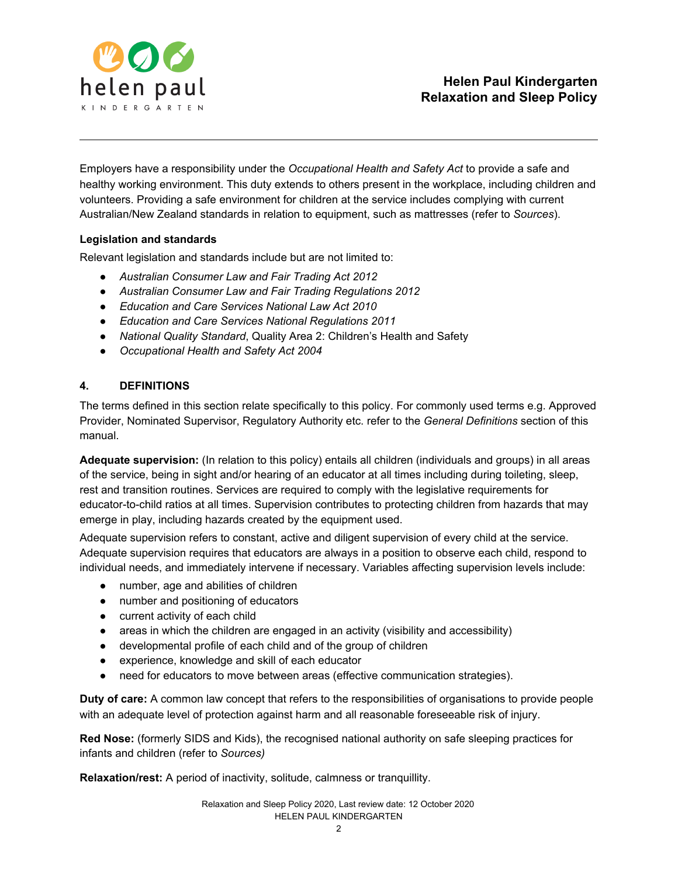

Employers have a responsibility under the *Occupational Health and Safety Act* to provide a safe and healthy working environment. This duty extends to others present in the workplace, including children and volunteers. Providing a safe environment for children at the service includes complying with current Australian/New Zealand standards in relation to equipment, such as mattresses (refer to *Sources*).

## **Legislation and standards**

Relevant legislation and standards include but are not limited to:

- *● Australian Consumer Law and Fair Trading Act 2012*
- *● Australian Consumer Law and Fair Trading Regulations 2012*
- *● Education and Care Services National Law Act 2010*
- *● Education and Care Services National Regulations 2011*
- *● National Quality Standard*, Quality Area 2: Children's Health and Safety
- *● Occupational Health and Safety Act 2004*

## **4. DEFINITIONS**

The terms defined in this section relate specifically to this policy. For commonly used terms e.g. Approved Provider, Nominated Supervisor, Regulatory Authority etc. refer to the *General Definitions* section of this manual.

**Adequate supervision:** (In relation to this policy) entails all children (individuals and groups) in all areas of the service, being in sight and/or hearing of an educator at all times including during toileting, sleep, rest and transition routines. Services are required to comply with the legislative requirements for educator-to-child ratios at all times. Supervision contributes to protecting children from hazards that may emerge in play, including hazards created by the equipment used.

Adequate supervision refers to constant, active and diligent supervision of every child at the service. Adequate supervision requires that educators are always in a position to observe each child, respond to individual needs, and immediately intervene if necessary. Variables affecting supervision levels include:

- number, age and abilities of children
- number and positioning of educators
- current activity of each child
- $\bullet$  areas in which the children are engaged in an activity (visibility and accessibility)
- developmental profile of each child and of the group of children
- experience, knowledge and skill of each educator
- need for educators to move between areas (effective communication strategies).

**Duty of care:** A common law concept that refers to the responsibilities of organisations to provide people with an adequate level of protection against harm and all reasonable foreseeable risk of injury.

**Red Nose:** (formerly SIDS and Kids), the recognised national authority on safe sleeping practices for infants and children (refer to *Sources)*

**Relaxation/rest:** A period of inactivity, solitude, calmness or tranquillity.

Relaxation and Sleep Policy 2020, Last review date: 12 October 2020 HELEN PAUL KINDERGARTEN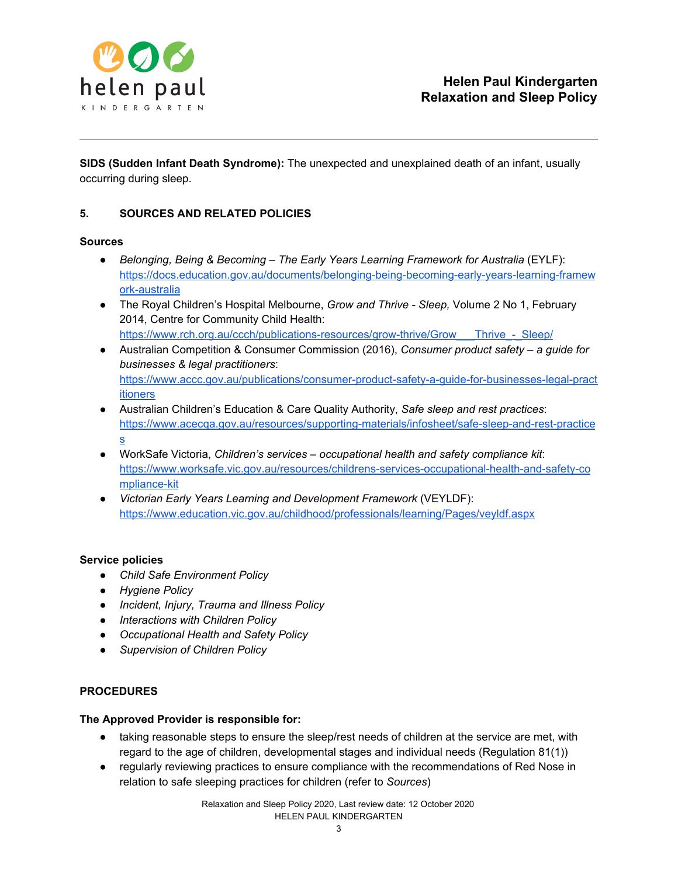

**SIDS (Sudden Infant Death Syndrome):** The unexpected and unexplained death of an infant, usually occurring during sleep.

## **5. SOURCES AND RELATED POLICIES**

#### **Sources**

- *Belonging, Being & Becoming – The Early Years Learning Framework for Australia* (EYLF): [https://docs.education.gov.au/documents/belonging-being-becoming-early-years-learning-framew](https://docs.education.gov.au/documents/belonging-being-becoming-early-years-learning-framework-australia) [ork-australia](https://docs.education.gov.au/documents/belonging-being-becoming-early-years-learning-framework-australia)
- The Royal Children's Hospital Melbourne, *Grow and Thrive - Sleep,* Volume 2 No 1, February 2014, Centre for Community Child Health[:](https://www.rch.org.au/ccch/publications-resources/grow-thrive/Grow___Thrive_-_Sleep/) [https://www.rch.org.au/ccch/publications-resources/grow-thrive/Grow\\_\\_\\_Thrive\\_-\\_Sleep/](https://www.rch.org.au/ccch/publications-resources/grow-thrive/Grow___Thrive_-_Sleep/)
- Australian Competition & Consumer Commission (2016), *Consumer product safety – a guide for businesses & legal practitioners*[:](https://www.accc.gov.au/publications/consumer-product-safety-a-guide-for-businesses-legal-practitioners) [https://www.accc.gov.au/publications/consumer-product-safety-a-guide-for-businesses-legal-pract](https://www.accc.gov.au/publications/consumer-product-safety-a-guide-for-businesses-legal-practitioners) [itioners](https://www.accc.gov.au/publications/consumer-product-safety-a-guide-for-businesses-legal-practitioners)
- Australian Children's Education & Care Quality Authority, *Safe sleep and rest practices*[:](https://www.acecqa.gov.au/resources/supporting-materials/infosheet/safe-sleep-and-rest-practices) [https://www.acecqa.gov.au/resources/supporting-materials/infosheet/safe-sleep-and-rest-practice](https://www.acecqa.gov.au/resources/supporting-materials/infosheet/safe-sleep-and-rest-practices) [s](https://www.acecqa.gov.au/resources/supporting-materials/infosheet/safe-sleep-and-rest-practices)
- WorkSafe Victoria, *Children's services – occupational health and safety compliance kit*: [https://www.worksafe.vic.gov.au/resources/childrens-services-occupational-health-and-safety-co](https://www.worksafe.vic.gov.au/resources/childrens-services-occupational-health-and-safety-compliance-kit) [mpliance-kit](https://www.worksafe.vic.gov.au/resources/childrens-services-occupational-health-and-safety-compliance-kit)
- *Victorian Early Years Learning and Development Framework* (VEYLDF): <https://www.education.vic.gov.au/childhood/professionals/learning/Pages/veyldf.aspx>

## **Service policies**

- *● Child Safe Environment Policy*
- *● Hygiene Policy*
- *● Incident, Injury, Trauma and Illness Policy*
- *● Interactions with Children Policy*
- *● Occupational Health and Safety Policy*
- *● Supervision of Children Policy*

## **PROCEDURES**

## **The Approved Provider is responsible for:**

- taking reasonable steps to ensure the sleep/rest needs of children at the service are met, with regard to the age of children, developmental stages and individual needs (Regulation 81(1))
- regularly reviewing practices to ensure compliance with the recommendations of Red Nose in relation to safe sleeping practices for children (refer to *Sources*)

Relaxation and Sleep Policy 2020, Last review date: 12 October 2020 HELEN PAUL KINDERGARTEN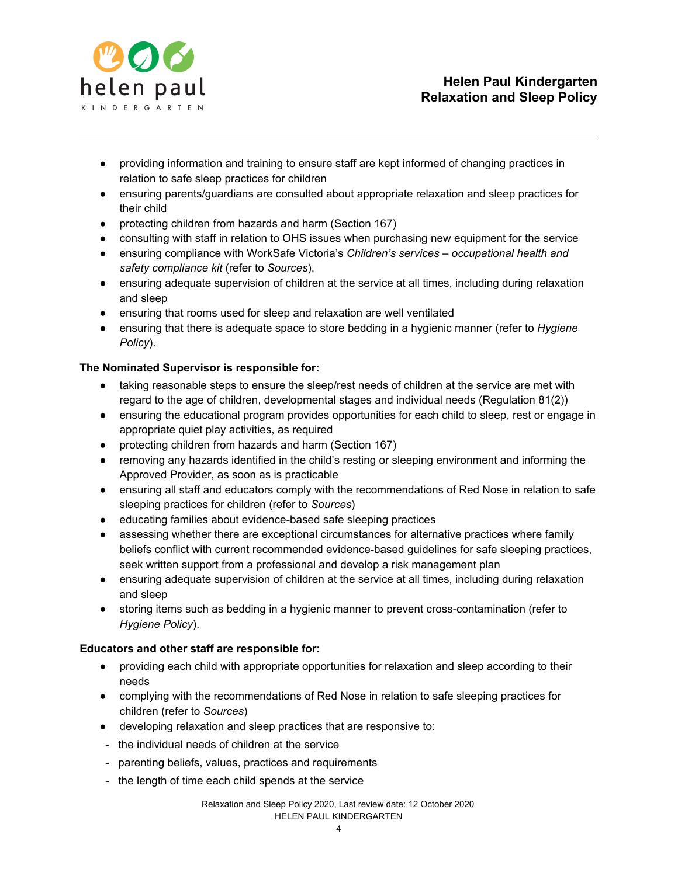

- providing information and training to ensure staff are kept informed of changing practices in relation to safe sleep practices for children
- ensuring parents/guardians are consulted about appropriate relaxation and sleep practices for their child
- protecting children from hazards and harm (Section 167)
- consulting with staff in relation to OHS issues when purchasing new equipment for the service
- ensuring compliance with WorkSafe Victoria's *Children's services – occupational health and safety compliance kit* (refer to *Sources*),
- ensuring adequate supervision of children at the service at all times, including during relaxation and sleep
- ensuring that rooms used for sleep and relaxation are well ventilated
- ensuring that there is adequate space to store bedding in a hygienic manner (refer to *Hygiene Policy*).

## **The Nominated Supervisor is responsible for:**

- taking reasonable steps to ensure the sleep/rest needs of children at the service are met with regard to the age of children, developmental stages and individual needs (Regulation 81(2))
- ensuring the educational program provides opportunities for each child to sleep, rest or engage in appropriate quiet play activities, as required
- protecting children from hazards and harm (Section 167)
- removing any hazards identified in the child's resting or sleeping environment and informing the Approved Provider, as soon as is practicable
- ensuring all staff and educators comply with the recommendations of Red Nose in relation to safe sleeping practices for children (refer to *Sources*)
- educating families about evidence-based safe sleeping practices
- assessing whether there are exceptional circumstances for alternative practices where family beliefs conflict with current recommended evidence-based guidelines for safe sleeping practices, seek written support from a professional and develop a risk management plan
- ensuring adequate supervision of children at the service at all times, including during relaxation and sleep
- storing items such as bedding in a hygienic manner to prevent cross-contamination (refer to *Hygiene Policy*).

## **Educators and other staff are responsible for:**

- providing each child with appropriate opportunities for relaxation and sleep according to their needs
- complying with the recommendations of Red Nose in relation to safe sleeping practices for children (refer to *Sources*)
- developing relaxation and sleep practices that are responsive to:
- the individual needs of children at the service
- parenting beliefs, values, practices and requirements
- the length of time each child spends at the service

#### Relaxation and Sleep Policy 2020, Last review date: 12 October 2020 HELEN PAUL KINDERGARTEN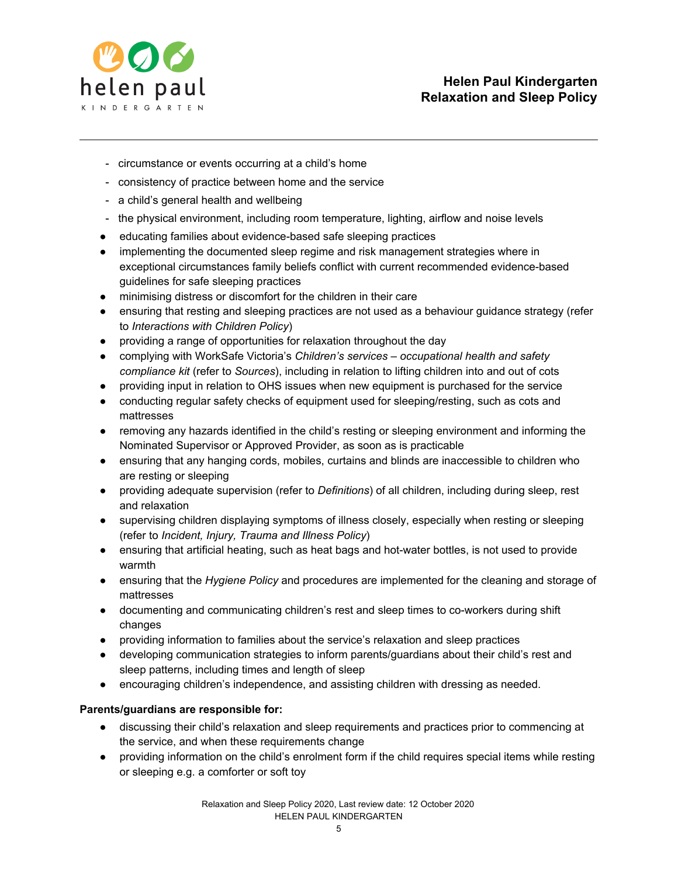

- circumstance or events occurring at a child's home
- consistency of practice between home and the service
- a child's general health and wellbeing
- the physical environment, including room temperature, lighting, airflow and noise levels
- educating families about evidence-based safe sleeping practices
- implementing the documented sleep regime and risk management strategies where in exceptional circumstances family beliefs conflict with current recommended evidence-based guidelines for safe sleeping practices
- minimising distress or discomfort for the children in their care
- ensuring that resting and sleeping practices are not used as a behaviour guidance strategy (refer to *Interactions with Children Policy*)
- providing a range of opportunities for relaxation throughout the day
- complying with WorkSafe Victoria's *Children's services – occupational health and safety compliance kit* (refer to *Sources*), including in relation to lifting children into and out of cots
- providing input in relation to OHS issues when new equipment is purchased for the service
- conducting regular safety checks of equipment used for sleeping/resting, such as cots and mattresses
- removing any hazards identified in the child's resting or sleeping environment and informing the Nominated Supervisor or Approved Provider, as soon as is practicable
- ensuring that any hanging cords, mobiles, curtains and blinds are inaccessible to children who are resting or sleeping
- providing adequate supervision (refer to *Definitions*) of all children, including during sleep, rest and relaxation
- supervising children displaying symptoms of illness closely, especially when resting or sleeping (refer to *Incident, Injury, Trauma and Illness Policy*)
- ensuring that artificial heating, such as heat bags and hot-water bottles, is not used to provide warmth
- ensuring that the *Hygiene Policy* and procedures are implemented for the cleaning and storage of mattresses
- documenting and communicating children's rest and sleep times to co-workers during shift changes
- providing information to families about the service's relaxation and sleep practices
- developing communication strategies to inform parents/guardians about their child's rest and sleep patterns, including times and length of sleep
- encouraging children's independence, and assisting children with dressing as needed.

## **Parents/guardians are responsible for:**

- discussing their child's relaxation and sleep requirements and practices prior to commencing at the service, and when these requirements change
- providing information on the child's enrolment form if the child requires special items while resting or sleeping e.g. a comforter or soft toy